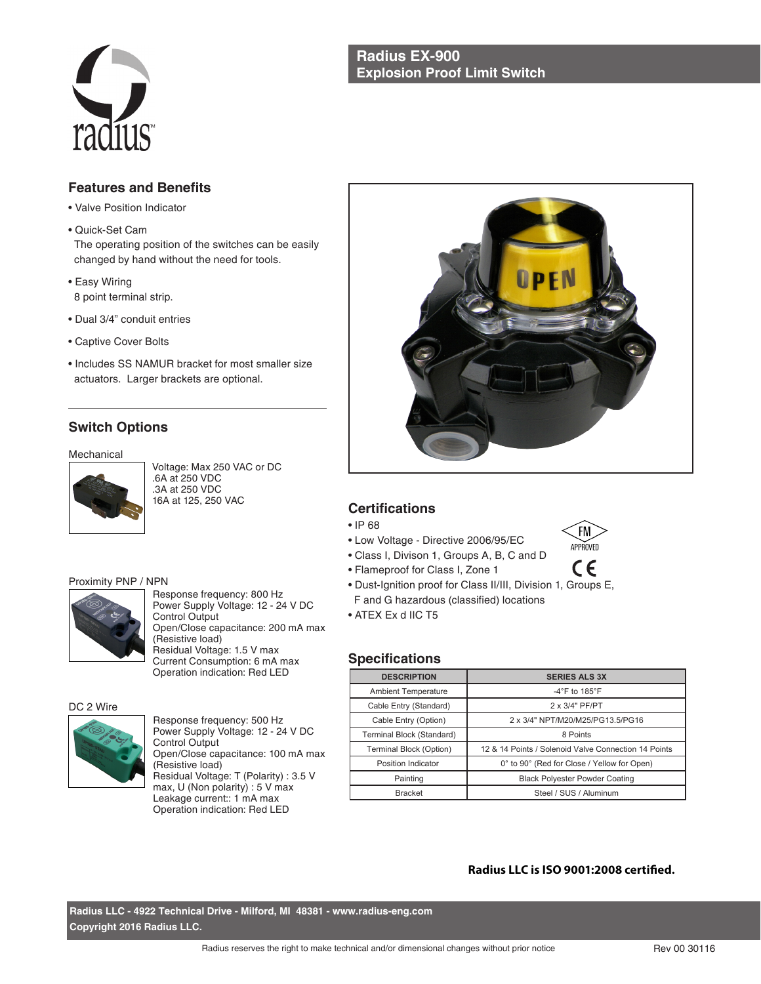## **Radius EX-900 Explosion Proof Limit Switch**



# **Features and Benefits**

- Valve Position Indicator
- Quick-Set Cam

 The operating position of the switches can be easily changed by hand without the need for tools.

- Easy Wiring 8 point terminal strip.
- Dual 3/4" conduit entries
- Captive Cover Bolts
- Includes SS NAMUR bracket for most smaller size actuators. Larger brackets are optional.

# **Switch Options**

Mechanical



Voltage: Max 250 VAC or DC .6A at 250 VDC .3A at 250 VDC 16A at 125, 250 VAC

#### Proximity PNP / NPN



Response frequency: 800 Hz Power Supply Voltage: 12 - 24 V DC Control Output Open/Close capacitance: 200 mA max (Resistive load) Residual Voltage: 1.5 V max Current Consumption: 6 mA max Operation indication: Red LED

#### DC 2 Wire



Response frequency: 500 Hz Power Supply Voltage: 12 - 24 V DC Control Output Open/Close capacitance: 100 mA max (Resistive load) Residual Voltage: T (Polarity) : 3.5 V max, U (Non polarity) : 5 V max Leakage current:: 1 mA max Operation indication: Red LED



## **Certifications**

- IP 68
- Low Voltage Directive 2006/95/EC
- Class I, Divison 1, Groups A, B, C and D
- Flameproof for Class I, Zone 1
- Dust-Ignition proof for Class II/III, Division 1, Groups E, F and G hazardous (classified) locations
- ATEX Ex d IIC T5

## **Specifications**

| <b>DESCRIPTION</b>         | <b>SERIES ALS 3X</b>                                 |  |
|----------------------------|------------------------------------------------------|--|
| <b>Ambient Temperature</b> | -4 $\degree$ F to 185 $\degree$ F                    |  |
| Cable Entry (Standard)     | 2 x 3/4" PF/PT                                       |  |
| Cable Entry (Option)       | 2 x 3/4" NPT/M20/M25/PG13.5/PG16                     |  |
| Terminal Block (Standard)  | 8 Points                                             |  |
| Terminal Block (Option)    | 12 & 14 Points / Solenoid Valve Connection 14 Points |  |
| Position Indicator         | 0° to 90° (Red for Close / Yellow for Open)          |  |
| Painting                   | <b>Black Polyester Powder Coating</b>                |  |
| <b>Bracket</b>             | Steel / SUS / Aluminum                               |  |

### **Radius LLC is ISO 9001:2008 certified.**

FM APPROVED  $\epsilon$ 

**Radius LLC - 4922 Technical Drive - Milford, MI 48381 - www.radius-eng.com Copyright 2016 Radius LLC.**